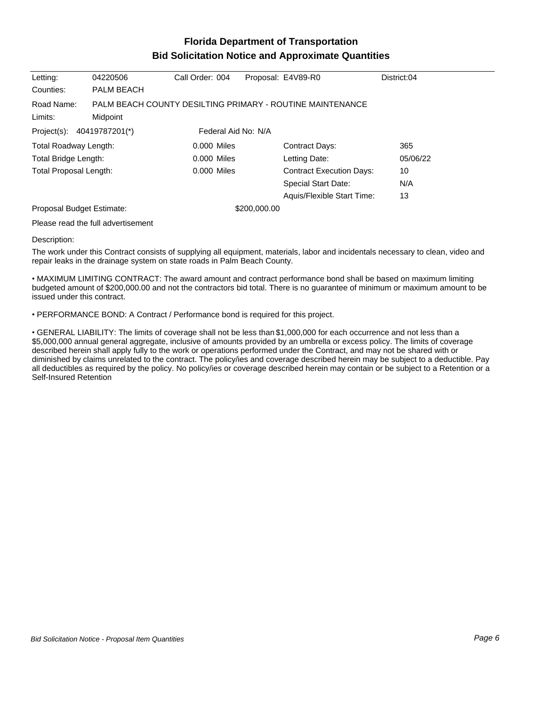## **Florida Department of Transportation Bid Solicitation Notice and Approximate Quantities**

| Letting:                                          | 04220506                           | Call Order: 004 |              | Proposal: E4V89-R0                                        | District:04 |
|---------------------------------------------------|------------------------------------|-----------------|--------------|-----------------------------------------------------------|-------------|
| Counties:                                         | PALM BEACH                         |                 |              |                                                           |             |
| Road Name:                                        |                                    |                 |              | PALM BEACH COUNTY DESILTING PRIMARY - ROUTINE MAINTENANCE |             |
| Limits:                                           | Midpoint                           |                 |              |                                                           |             |
| Project(s): 40419787201(*)<br>Federal Aid No: N/A |                                    |                 |              |                                                           |             |
| Total Roadway Length:                             |                                    | 0.000 Miles     |              | Contract Days:                                            | 365         |
| Total Bridge Length:                              |                                    | 0.000 Miles     |              | Letting Date:                                             | 05/06/22    |
| Total Proposal Length:                            |                                    | 0.000 Miles     |              | <b>Contract Execution Days:</b>                           | 10          |
|                                                   |                                    |                 |              | <b>Special Start Date:</b>                                | N/A         |
|                                                   |                                    |                 |              | Aquis/Flexible Start Time:                                | 13          |
| Proposal Budget Estimate:                         |                                    |                 | \$200,000.00 |                                                           |             |
|                                                   | Please read the full advertisement |                 |              |                                                           |             |

Description:

The work under this Contract consists of supplying all equipment, materials, labor and incidentals necessary to clean, video and repair leaks in the drainage system on state roads in Palm Beach County.

MAXIMUM LIMITING CONTRACT: The award amount and contract performance bond shall be based on maximum limiting budgeted amount of \$200,000.00 and not the contractors bid total. There is no guarantee of minimum or maximum amount to be issued under this contract.

PERFORMANCE BOND: A Contract / Performance bond is required for this project.

GENERAL LIABILITY: The limits of coverage shall not be less than \$1,000,000 for each occurrence and not less than a \$5,000,000 annual general aggregate, inclusive of amounts provided by an umbrella or excess policy. The limits of coverage described herein shall apply fully to the work or operations performed under the Contract, and may not be shared with or diminished by claims unrelated to the contract. The policy/ies and coverage described herein may be subject to a deductible. Pay all deductibles as required by the policy. No policy/ies or coverage described herein may contain or be subject to a Retention or a Self-Insured Retention